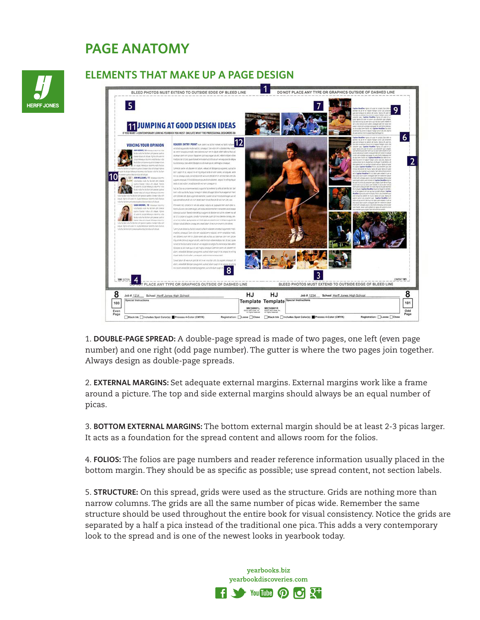## **PAGE ANATOMY**



## **ELEMENTS THAT MAKE UP A PAGE DESIGN**



1. **DOUBLE-PAGE SPREAD:** A double-page spread is made of two pages, one left (even page number) and one right (odd page number). The gutter is where the two pages join together. Always design as double-page spreads.

2. **EXTERNAL MARGINS:** Set adequate external margins. External margins work like a frame around a picture. The top and side external margins should always be an equal number of picas.

3. **BOTTOM EXTERNAL MARGINS:** The bottom external margin should be at least 2-3 picas larger. It acts as a foundation for the spread content and allows room for the folios.

4. **FOLIOS:** The folios are page numbers and reader reference information usually placed in the bottom margin. They should be as specific as possible; use spread content, not section labels.

5. **STRUCTURE:** On this spread, grids were used as the structure. Grids are nothing more than narrow columns. The grids are all the same number of picas wide. Remember the same structure should be used throughout the entire book for visual consistency. Notice the grids are separated by a half a pica instead of the traditional one pica. This adds a very contemporary look to the spread and is one of the newest looks in yearbook today.